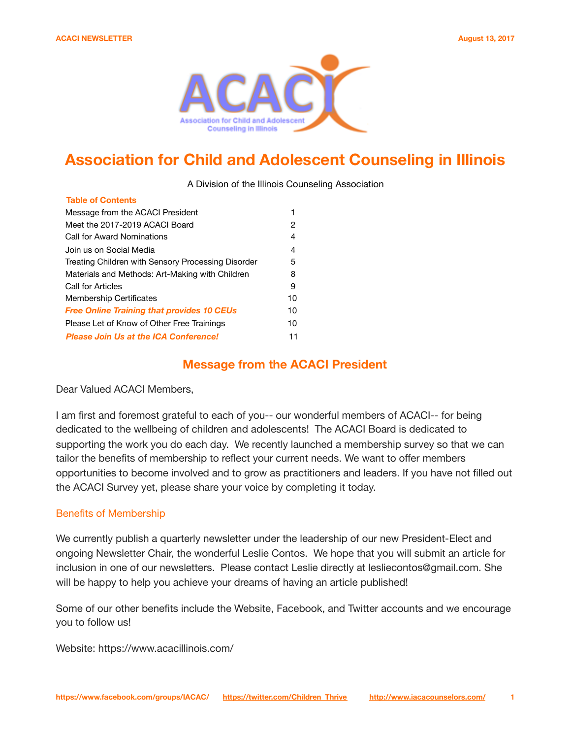**Table of Contents**



# **Association for Child and Adolescent Counseling in Illinois**

A Division of the Illinois Counseling Association

| iavie vi ovinens                                   |    |
|----------------------------------------------------|----|
| Message from the ACACI President                   |    |
| Meet the 2017-2019 ACACI Board                     | 2  |
| Call for Award Nominations                         | 4  |
| Join us on Social Media                            | 4  |
| Treating Children with Sensory Processing Disorder | 5  |
| Materials and Methods: Art-Making with Children    | 8  |
| Call for Articles                                  | 9  |
| <b>Membership Certificates</b>                     | 10 |
| <b>Free Online Training that provides 10 CEUs</b>  | 10 |
| Please Let of Know of Other Free Trainings         | 10 |
| <b>Please Join Us at the ICA Conference!</b>       | 11 |

## **Message from the ACACI President**

Dear Valued ACACI Members,

I am first and foremost grateful to each of you-- our wonderful members of ACACI-- for being dedicated to the wellbeing of children and adolescents! The ACACI Board is dedicated to supporting the work you do each day. We recently launched a membership survey so that we can tailor the benefits of membership to reflect your current needs. We want to offer members opportunities to become involved and to grow as practitioners and leaders. If you have not filled out the ACACI Survey yet, please share your voice by completing it today.

#### Benefits of Membership

We currently publish a quarterly newsletter under the leadership of our new President-Elect and ongoing Newsletter Chair, the wonderful Leslie Contos. We hope that you will submit an article for inclusion in one of our newsletters. Please contact Leslie directly at lesliecontos@gmail.com. She will be happy to help you achieve your dreams of having an article published!

Some of our other benefits include the Website, Facebook, and Twitter accounts and we encourage you to follow us!

Website: https://www.acacillinois.com/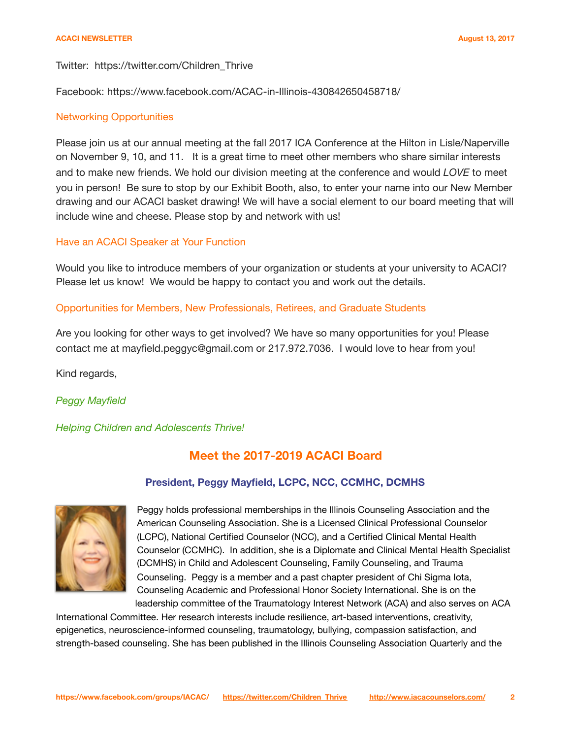#### Twitter: https://twitter.com/Children\_Thrive

Facebook: https://www.facebook.com/ACAC-in-Illinois-430842650458718/

#### Networking Opportunities

Please join us at our annual meeting at the fall 2017 ICA Conference at the Hilton in Lisle/Naperville on November 9, 10, and 11. It is a great time to meet other members who share similar interests and to make new friends. We hold our division meeting at the conference and would *LOVE* to meet you in person! Be sure to stop by our Exhibit Booth, also, to enter your name into our New Member drawing and our ACACI basket drawing! We will have a social element to our board meeting that will include wine and cheese. Please stop by and network with us!

## Have an ACACI Speaker at Your Function

Would you like to introduce members of your organization or students at your university to ACACI? Please let us know! We would be happy to contact you and work out the details.

## Opportunities for Members, New Professionals, Retirees, and Graduate Students

Are you looking for other ways to get involved? We have so many opportunities for you! Please contact me at mayfield.peggyc@gmail.com or 217.972.7036. I would love to hear from you!

Kind regards,

## *Peggy Mayfield*

*Helping Children and Adolescents Thrive!* 

## **Meet the 2017-2019 ACACI Board**

## **President, Peggy Mayfield, LCPC, NCC, CCMHC, DCMHS**



Peggy holds professional memberships in the Illinois Counseling Association and the American Counseling Association. She is a Licensed Clinical Professional Counselor (LCPC), National Certified Counselor (NCC), and a Certified Clinical Mental Health Counselor (CCMHC). In addition, she is a Diplomate and Clinical Mental Health Specialist (DCMHS) in Child and Adolescent Counseling, Family Counseling, and Trauma Counseling. Peggy is a member and a past chapter president of Chi Sigma Iota, Counseling Academic and Professional Honor Society International. She is on the leadership committee of the Traumatology Interest Network (ACA) and also serves on ACA

International Committee. Her research interests include resilience, art-based interventions, creativity, epigenetics, neuroscience-informed counseling, traumatology, bullying, compassion satisfaction, and strength-based counseling. She has been published in the Illinois Counseling Association Quarterly and the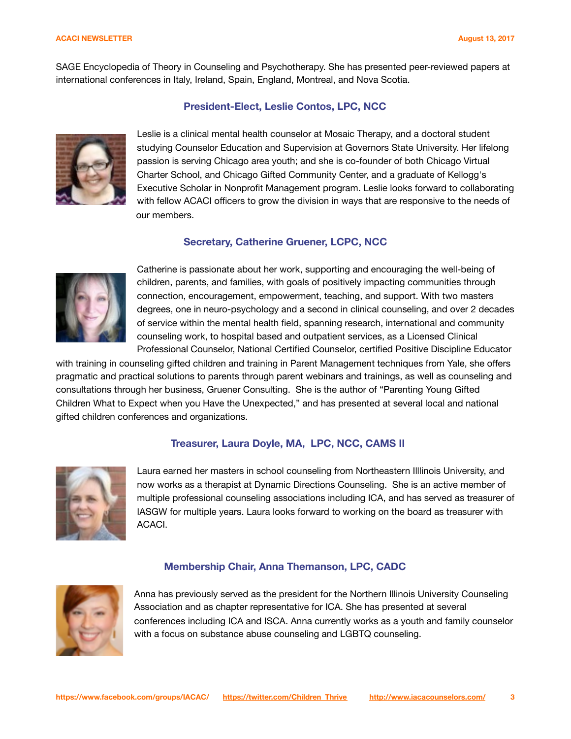#### **ACACI NEWSLETTER August 13, 2017**

SAGE Encyclopedia of Theory in Counseling and Psychotherapy. She has presented peer-reviewed papers at international conferences in Italy, Ireland, Spain, England, Montreal, and Nova Scotia.

## **President-Elect, Leslie Contos, LPC, NCC**



Leslie is a clinical mental health counselor at Mosaic Therapy, and a doctoral student studying Counselor Education and Supervision at Governors State University. Her lifelong passion is serving Chicago area youth; and she is co-founder of both Chicago Virtual Charter School, and Chicago Gifted Community Center, and a graduate of Kellogg's Executive Scholar in Nonprofit Management program. Leslie looks forward to collaborating with fellow ACACI officers to grow the division in ways that are responsive to the needs of our members.

## **Secretary, Catherine Gruener, LCPC, NCC**



Catherine is passionate about her work, supporting and encouraging the well-being of children, parents, and families, with goals of positively impacting communities through connection, encouragement, empowerment, teaching, and support. With two masters degrees, one in neuro-psychology and a second in clinical counseling, and over 2 decades of service within the mental health field, spanning research, international and community counseling work, to hospital based and outpatient services, as a Licensed Clinical Professional Counselor, National Certified Counselor, certified Positive Discipline Educator

with training in counseling gifted children and training in Parent Management techniques from Yale, she offers pragmatic and practical solutions to parents through parent webinars and trainings, as well as counseling and consultations through her business, Gruener Consulting. She is the author of "Parenting Young Gifted Children What to Expect when you Have the Unexpected," and has presented at several local and national gifted children conferences and organizations.

## **Treasurer, Laura Doyle, MA, LPC, NCC, CAMS II**



Laura earned her masters in school counseling from Northeastern Illlinois University, and now works as a therapist at Dynamic Directions Counseling. She is an active member of multiple professional counseling associations including ICA, and has served as treasurer of IASGW for multiple years. Laura looks forward to working on the board as treasurer with ACACI.

## **Membership Chair, Anna Themanson, LPC, CADC**



Anna has previously served as the president for the Northern Illinois University Counseling Association and as chapter representative for ICA. She has presented at several conferences including ICA and ISCA. Anna currently works as a youth and family counselor with a focus on substance abuse counseling and LGBTQ counseling.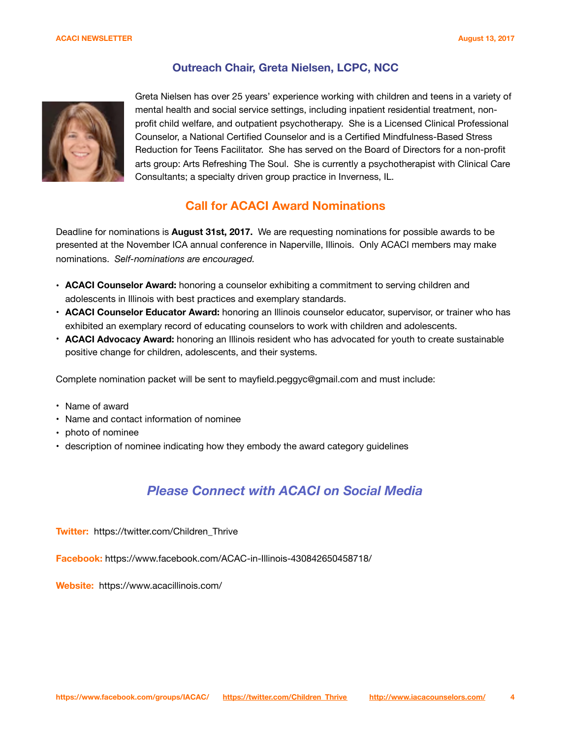## **Outreach Chair, Greta Nielsen, LCPC, NCC**



Greta Nielsen has over 25 years' experience working with children and teens in a variety of mental health and social service settings, including inpatient residential treatment, nonprofit child welfare, and outpatient psychotherapy. She is a Licensed Clinical Professional Counselor, a National Certified Counselor and is a Certified Mindfulness-Based Stress Reduction for Teens Facilitator. She has served on the Board of Directors for a non-profit arts group: Arts Refreshing The Soul. She is currently a psychotherapist with Clinical Care Consultants; a specialty driven group practice in Inverness, IL.

## **Call for ACACI Award Nominations**

Deadline for nominations is **August 31st, 2017.** We are requesting nominations for possible awards to be presented at the November ICA annual conference in Naperville, Illinois. Only ACACI members may make nominations. *Self-nominations are encouraged.* 

- **ACACI Counselor Award:** honoring a counselor exhibiting a commitment to serving children and adolescents in Illinois with best practices and exemplary standards.
- **ACACI Counselor Educator Award:** honoring an Illinois counselor educator, supervisor, or trainer who has exhibited an exemplary record of educating counselors to work with children and adolescents.
- **ACACI Advocacy Award:** honoring an Illinois resident who has advocated for youth to create sustainable positive change for children, adolescents, and their systems.

Complete nomination packet will be sent to mayfield.peggyc@gmail.com and must include:

- Name of award
- Name and contact information of nominee
- photo of nominee
- description of nominee indicating how they embody the award category guidelines

# *Please Connect with ACACI on Social Media*

**Twitter:** https://twitter.com/Children\_Thrive

**Facebook:** https://www.facebook.com/ACAC-in-Illinois-430842650458718/

**Website:** https://www.acacillinois.com/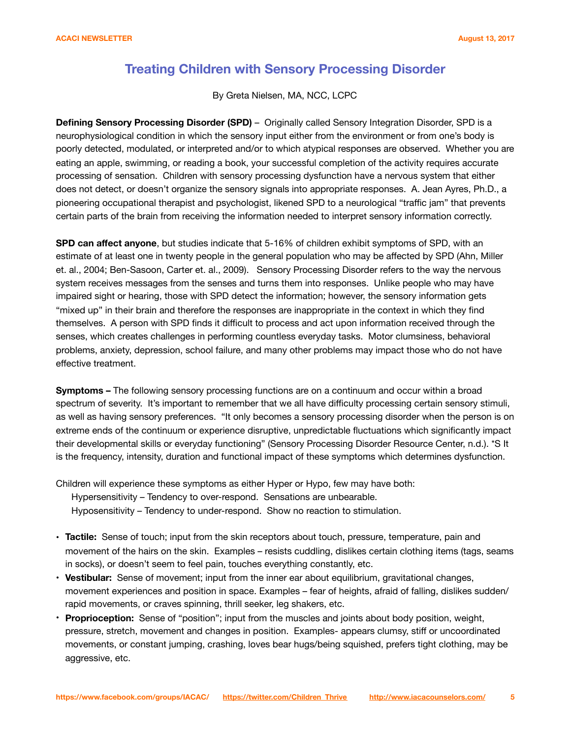# **Treating Children with Sensory Processing Disorder**

By Greta Nielsen, MA, NCC, LCPC

**Defining Sensory Processing Disorder (SPD)** – Originally called Sensory Integration Disorder, SPD is a neurophysiological condition in which the sensory input either from the environment or from one's body is poorly detected, modulated, or interpreted and/or to which atypical responses are observed. Whether you are eating an apple, swimming, or reading a book, your successful completion of the activity requires accurate processing of sensation. Children with sensory processing dysfunction have a nervous system that either does not detect, or doesn't organize the sensory signals into appropriate responses. A. Jean Ayres, Ph.D., a pioneering occupational therapist and psychologist, likened SPD to a neurological "traffic jam" that prevents certain parts of the brain from receiving the information needed to interpret sensory information correctly.

**SPD can affect anyone**, but studies indicate that 5-16% of children exhibit symptoms of SPD, with an estimate of at least one in twenty people in the general population who may be affected by SPD (Ahn, Miller et. al., 2004; Ben-Sasoon, Carter et. al., 2009). Sensory Processing Disorder refers to the way the nervous system receives messages from the senses and turns them into responses. Unlike people who may have impaired sight or hearing, those with SPD detect the information; however, the sensory information gets "mixed up" in their brain and therefore the responses are inappropriate in the context in which they find themselves. A person with SPD finds it difficult to process and act upon information received through the senses, which creates challenges in performing countless everyday tasks. Motor clumsiness, behavioral problems, anxiety, depression, school failure, and many other problems may impact those who do not have effective treatment.

**Symptoms –** The following sensory processing functions are on a continuum and occur within a broad spectrum of severity. It's important to remember that we all have difficulty processing certain sensory stimuli, as well as having sensory preferences. "It only becomes a sensory processing disorder when the person is on extreme ends of the continuum or experience disruptive, unpredictable fluctuations which significantly impact their developmental skills or everyday functioning" (Sensory Processing Disorder Resource Center, n.d.). \*S It is the frequency, intensity, duration and functional impact of these symptoms which determines dysfunction.

Children will experience these symptoms as either Hyper or Hypo, few may have both:

Hypersensitivity – Tendency to over-respond. Sensations are unbearable.

Hyposensitivity – Tendency to under-respond. Show no reaction to stimulation.

- **Tactile:** Sense of touch; input from the skin receptors about touch, pressure, temperature, pain and movement of the hairs on the skin. Examples – resists cuddling, dislikes certain clothing items (tags, seams in socks), or doesn't seem to feel pain, touches everything constantly, etc.
- **Vestibular:** Sense of movement; input from the inner ear about equilibrium, gravitational changes, movement experiences and position in space. Examples – fear of heights, afraid of falling, dislikes sudden/ rapid movements, or craves spinning, thrill seeker, leg shakers, etc.
- **Proprioception:** Sense of "position"; input from the muscles and joints about body position, weight, pressure, stretch, movement and changes in position. Examples- appears clumsy, stiff or uncoordinated movements, or constant jumping, crashing, loves bear hugs/being squished, prefers tight clothing, may be aggressive, etc.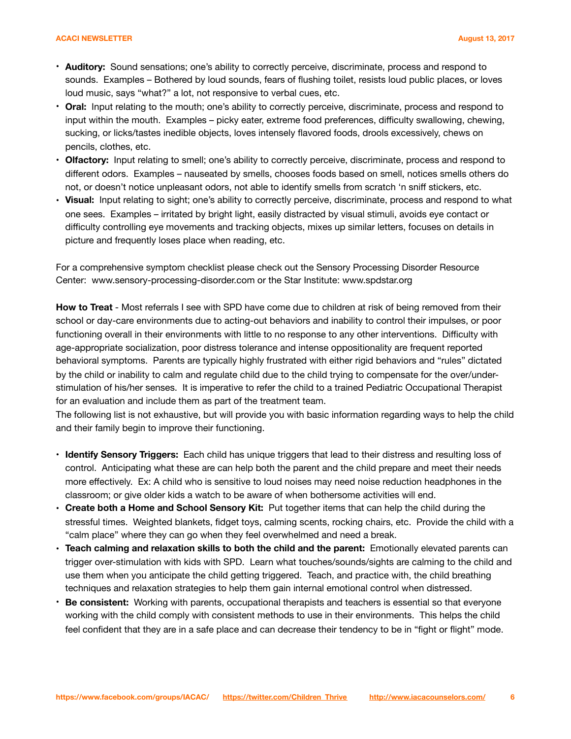#### **ACACI NEWSLETTER August 13, 2017**

- **Auditory:** Sound sensations; one's ability to correctly perceive, discriminate, process and respond to sounds. Examples – Bothered by loud sounds, fears of flushing toilet, resists loud public places, or loves loud music, says "what?" a lot, not responsive to verbal cues, etc.
- **Oral:** Input relating to the mouth; one's ability to correctly perceive, discriminate, process and respond to input within the mouth. Examples – picky eater, extreme food preferences, difficulty swallowing, chewing, sucking, or licks/tastes inedible objects, loves intensely flavored foods, drools excessively, chews on pencils, clothes, etc.
- **Olfactory:** Input relating to smell; one's ability to correctly perceive, discriminate, process and respond to different odors. Examples – nauseated by smells, chooses foods based on smell, notices smells others do not, or doesn't notice unpleasant odors, not able to identify smells from scratch 'n sniff stickers, etc.
- **Visual:** Input relating to sight; one's ability to correctly perceive, discriminate, process and respond to what one sees. Examples – irritated by bright light, easily distracted by visual stimuli, avoids eye contact or difficulty controlling eye movements and tracking objects, mixes up similar letters, focuses on details in picture and frequently loses place when reading, etc.

For a comprehensive symptom checklist please check out the Sensory Processing Disorder Resource Center: www.sensory-processing-disorder.com or the Star Institute: www.spdstar.org

**How to Treat** - Most referrals I see with SPD have come due to children at risk of being removed from their school or day-care environments due to acting-out behaviors and inability to control their impulses, or poor functioning overall in their environments with little to no response to any other interventions. Difficulty with age-appropriate socialization, poor distress tolerance and intense oppositionality are frequent reported behavioral symptoms. Parents are typically highly frustrated with either rigid behaviors and "rules" dictated by the child or inability to calm and regulate child due to the child trying to compensate for the over/understimulation of his/her senses. It is imperative to refer the child to a trained Pediatric Occupational Therapist for an evaluation and include them as part of the treatment team.

The following list is not exhaustive, but will provide you with basic information regarding ways to help the child and their family begin to improve their functioning.

- **Identify Sensory Triggers:** Each child has unique triggers that lead to their distress and resulting loss of control. Anticipating what these are can help both the parent and the child prepare and meet their needs more effectively. Ex: A child who is sensitive to loud noises may need noise reduction headphones in the classroom; or give older kids a watch to be aware of when bothersome activities will end.
- **Create both a Home and School Sensory Kit:** Put together items that can help the child during the stressful times. Weighted blankets, fidget toys, calming scents, rocking chairs, etc. Provide the child with a "calm place" where they can go when they feel overwhelmed and need a break.
- **Teach calming and relaxation skills to both the child and the parent:** Emotionally elevated parents can trigger over-stimulation with kids with SPD. Learn what touches/sounds/sights are calming to the child and use them when you anticipate the child getting triggered. Teach, and practice with, the child breathing techniques and relaxation strategies to help them gain internal emotional control when distressed.
- **Be consistent:** Working with parents, occupational therapists and teachers is essential so that everyone working with the child comply with consistent methods to use in their environments. This helps the child feel confident that they are in a safe place and can decrease their tendency to be in "fight or flight" mode.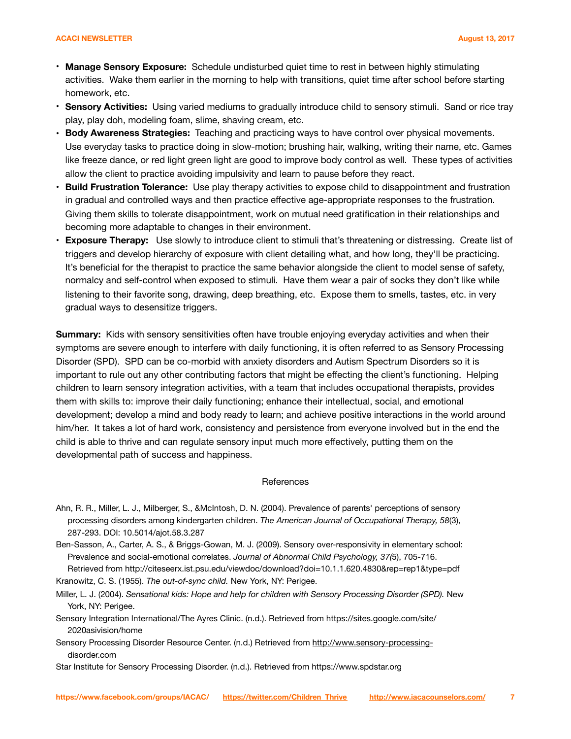#### **ACACI NEWSLETTER August 13, 2017**

- **Manage Sensory Exposure:** Schedule undisturbed quiet time to rest in between highly stimulating activities. Wake them earlier in the morning to help with transitions, quiet time after school before starting homework, etc.
- **Sensory Activities:** Using varied mediums to gradually introduce child to sensory stimuli. Sand or rice tray play, play doh, modeling foam, slime, shaving cream, etc.
- **Body Awareness Strategies:** Teaching and practicing ways to have control over physical movements. Use everyday tasks to practice doing in slow-motion; brushing hair, walking, writing their name, etc. Games like freeze dance, or red light green light are good to improve body control as well. These types of activities allow the client to practice avoiding impulsivity and learn to pause before they react.
- **Build Frustration Tolerance:** Use play therapy activities to expose child to disappointment and frustration in gradual and controlled ways and then practice effective age-appropriate responses to the frustration. Giving them skills to tolerate disappointment, work on mutual need gratification in their relationships and becoming more adaptable to changes in their environment.
- **Exposure Therapy:** Use slowly to introduce client to stimuli that's threatening or distressing. Create list of triggers and develop hierarchy of exposure with client detailing what, and how long, they'll be practicing. It's beneficial for the therapist to practice the same behavior alongside the client to model sense of safety, normalcy and self-control when exposed to stimuli. Have them wear a pair of socks they don't like while listening to their favorite song, drawing, deep breathing, etc. Expose them to smells, tastes, etc. in very gradual ways to desensitize triggers.

**Summary:** Kids with sensory sensitivities often have trouble enjoying everyday activities and when their symptoms are severe enough to interfere with daily functioning, it is often referred to as Sensory Processing Disorder (SPD). SPD can be co-morbid with anxiety disorders and Autism Spectrum Disorders so it is important to rule out any other contributing factors that might be effecting the client's functioning. Helping children to learn sensory integration activities, with a team that includes occupational therapists, provides them with skills to: improve their daily functioning; enhance their intellectual, social, and emotional development; develop a mind and body ready to learn; and achieve positive interactions in the world around him/her. It takes a lot of hard work, consistency and persistence from everyone involved but in the end the child is able to thrive and can regulate sensory input much more effectively, putting them on the developmental path of success and happiness.

#### **References**

- Ahn, R. R., Miller, L. J., Milberger, S., &McIntosh, D. N. (2004). Prevalence of parents' perceptions of sensory processing disorders among kindergarten children. *The American Journal of Occupational Therapy, 58*(3), 287-293. DOI: 10.5014/ajot.58.3.287
- Ben-Sasson, A., Carter, A. S., & Briggs-Gowan, M. J. (2009). Sensory over-responsivity in elementary school: Prevalence and social-emotional correlates. *Journal of Abnormal Child Psychology, 37(*5), 705-716.
- Retrieved from http://citeseerx.ist.psu.edu/viewdoc/download?doi=10.1.1.620.4830&rep=rep1&type=pdf Kranowitz, C. S. (1955). *The out-of-sync child.* New York, NY: Perigee.
- Miller, L. J. (2004). *Sensational kids: Hope and help for children with Sensory Processing Disorder (SPD).* New York, NY: Perigee.
- Sensory Integration International/The Ayres Clinic. (n.d.). Retrieved from<https://sites.google.com/site/> 2020asivision/home
- Sensory Processing Disorder Resource Center. (n.d.) Retrieved from [http://www.sensory-processing](http://www.sensory-processing-) disorder.com

Star Institute for Sensory Processing Disorder. (n.d.). Retrieved from https://www.spdstar.org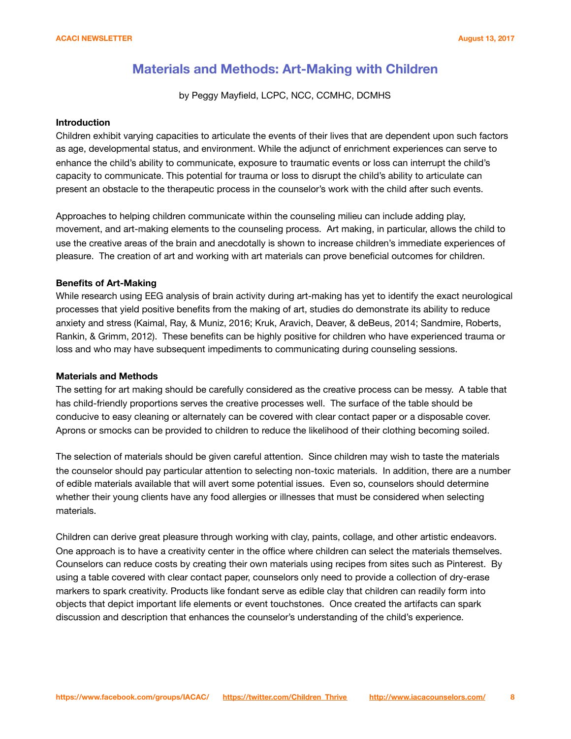# **Materials and Methods: Art-Making with Children**

by Peggy Mayfield, LCPC, NCC, CCMHC, DCMHS

### **Introduction**

Children exhibit varying capacities to articulate the events of their lives that are dependent upon such factors as age, developmental status, and environment. While the adjunct of enrichment experiences can serve to enhance the child's ability to communicate, exposure to traumatic events or loss can interrupt the child's capacity to communicate. This potential for trauma or loss to disrupt the child's ability to articulate can present an obstacle to the therapeutic process in the counselor's work with the child after such events.

Approaches to helping children communicate within the counseling milieu can include adding play, movement, and art-making elements to the counseling process. Art making, in particular, allows the child to use the creative areas of the brain and anecdotally is shown to increase children's immediate experiences of pleasure. The creation of art and working with art materials can prove beneficial outcomes for children.

#### **Benefits of Art-Making**

While research using EEG analysis of brain activity during art-making has yet to identify the exact neurological processes that yield positive benefits from the making of art, studies do demonstrate its ability to reduce anxiety and stress (Kaimal, Ray, & Muniz, 2016; Kruk, Aravich, Deaver, & deBeus, 2014; Sandmire, Roberts, Rankin, & Grimm, 2012). These benefits can be highly positive for children who have experienced trauma or loss and who may have subsequent impediments to communicating during counseling sessions.

#### **Materials and Methods**

The setting for art making should be carefully considered as the creative process can be messy. A table that has child-friendly proportions serves the creative processes well. The surface of the table should be conducive to easy cleaning or alternately can be covered with clear contact paper or a disposable cover. Aprons or smocks can be provided to children to reduce the likelihood of their clothing becoming soiled.

The selection of materials should be given careful attention. Since children may wish to taste the materials the counselor should pay particular attention to selecting non-toxic materials. In addition, there are a number of edible materials available that will avert some potential issues. Even so, counselors should determine whether their young clients have any food allergies or illnesses that must be considered when selecting materials.

Children can derive great pleasure through working with clay, paints, collage, and other artistic endeavors. One approach is to have a creativity center in the office where children can select the materials themselves. Counselors can reduce costs by creating their own materials using recipes from sites such as Pinterest. By using a table covered with clear contact paper, counselors only need to provide a collection of dry-erase markers to spark creativity. Products like fondant serve as edible clay that children can readily form into objects that depict important life elements or event touchstones. Once created the artifacts can spark discussion and description that enhances the counselor's understanding of the child's experience.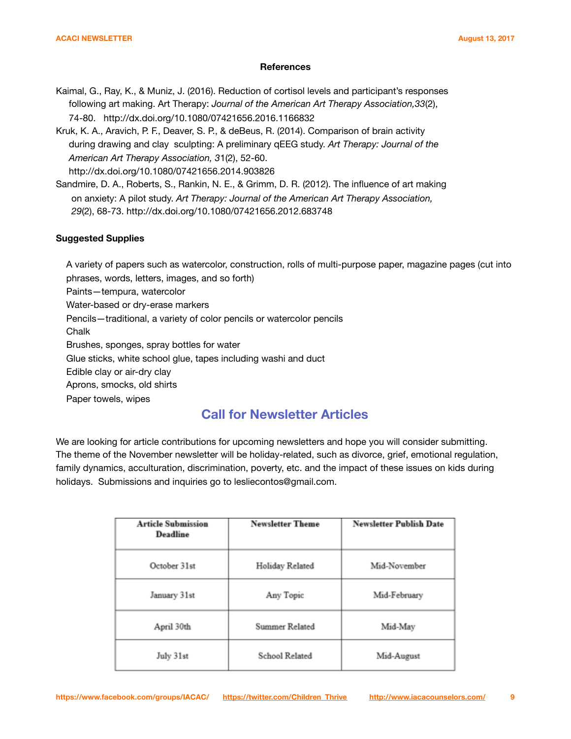#### **References**

Kaimal, G., Ray, K., & Muniz, J. (2016). Reduction of cortisol levels and participant's responses following art making. Art Therapy: *Journal of the American Art Therapy Association,33*(2), 74-80. http://dx.doi.org/10.1080/07421656.2016.1166832

Kruk, K. A., Aravich, P. F., Deaver, S. P., & deBeus, R. (2014). Comparison of brain activity during drawing and clay sculpting: A preliminary qEEG study. *Art Therapy: Journal of the American Art Therapy Association, 3*1(2), 52-60. http://dx.doi.org/10.1080/07421656.2014.903826

Sandmire, D. A., Roberts, S., Rankin, N. E., & Grimm, D. R. (2012). The influence of art making on anxiety: A pilot study. *Art Therapy: Journal of the American Art Therapy Association, 29*(2), 68-73. http://dx.doi.org/10.1080/07421656.2012.683748

### **Suggested Supplies**

 A variety of papers such as watercolor, construction, rolls of multi-purpose paper, magazine pages (cut into phrases, words, letters, images, and so forth)

Paints—tempura, watercolor

Water-based or dry-erase markers

Pencils—traditional, a variety of color pencils or watercolor pencils

Chalk

Brushes, sponges, spray bottles for water

Glue sticks, white school glue, tapes including washi and duct

Edible clay or air-dry clay

Aprons, smocks, old shirts

Paper towels, wipes

# **Call for Newsletter Articles**

We are looking for article contributions for upcoming newsletters and hope you will consider submitting. The theme of the November newsletter will be holiday-related, such as divorce, grief, emotional regulation, family dynamics, acculturation, discrimination, poverty, etc. and the impact of these issues on kids during holidays. Submissions and inquiries go to lesliecontos@gmail.com.

| <b>Article Submission</b><br>Deadline | <b>Newsletter Theme</b> | <b>Newsletter Publish Date</b> |
|---------------------------------------|-------------------------|--------------------------------|
| October 31st                          | Holiday Related         | Mid-November                   |
| January 31st                          | Any Topic               | Mid-February                   |
| April 30th                            | Summer Related          | Mid-May                        |
| July 31st                             | School Related          | Mid-August                     |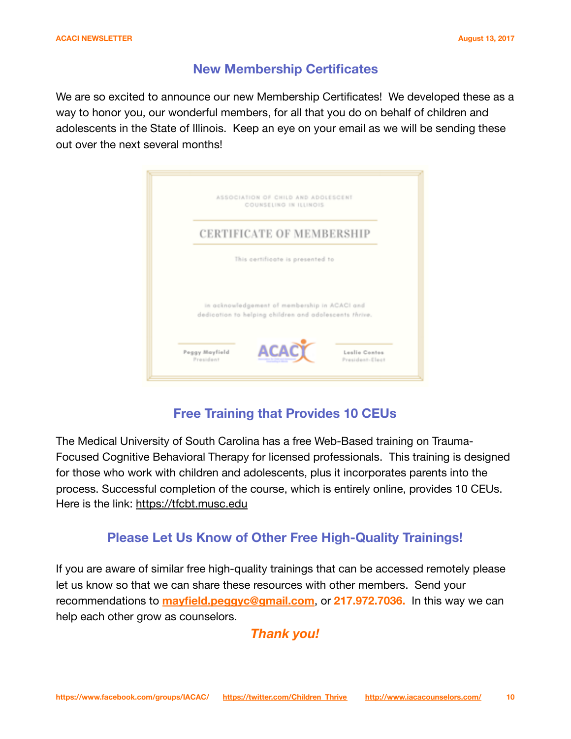# **New Membership Certificates**

We are so excited to announce our new Membership Certificates! We developed these as a way to honor you, our wonderful members, for all that you do on behalf of children and adolescents in the State of Illinois. Keep an eye on your email as we will be sending these out over the next several months!



# **Free Training that Provides 10 CEUs**

The Medical University of South Carolina has a free Web-Based training on Trauma-Focused Cognitive Behavioral Therapy for licensed professionals. This training is designed for those who work with children and adolescents, plus it incorporates parents into the process. Successful completion of the course, which is entirely online, provides 10 CEUs. Here is the link: <https://tfcbt.musc.edu>

# **Please Let Us Know of Other Free High-Quality Trainings!**

If you are aware of similar free high-quality trainings that can be accessed remotely please let us know so that we can share these resources with other members. Send your recommendations to **[mayfield.peggyc@gmail.com](mailto:mayfield.peggyc@gmail.com)**, or **217.972.7036.** In this way we can help each other grow as counselors.

*Thank you!*